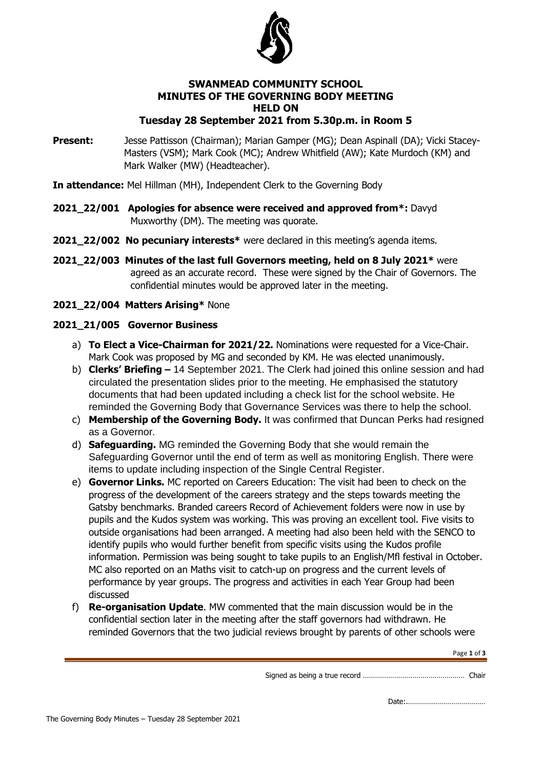

## **SWANMEAD COMMUNITY SCHOOL MINUTES OF THE GOVERNING BODY MEETING HELD ON Tuesday 28 September 2021 from 5.30p.m. in Room 5**

**Present:** Jesse Pattisson (Chairman); Marian Gamper (MG); Dean Aspinall (DA); Vicki Stacey-Masters (VSM); Mark Cook (MC); Andrew Whitfield (AW); Kate Murdoch (KM) and Mark Walker (MW) (Headteacher).

**In attendance:** Mel Hillman (MH), Independent Clerk to the Governing Body

- **2021\_22/001 Apologies for absence were received and approved from\*:** Davyd Muxworthy (DM). The meeting was quorate.
- **2021\_22/002 No pecuniary interests\*** were declared in this meeting's agenda items.
- **2021\_22/003 Minutes of the last full Governors meeting, held on 8 July 2021\*** were agreed as an accurate record. These were signed by the Chair of Governors. The confidential minutes would be approved later in the meeting.
- **2021\_22/004 Matters Arising\*** None

# **2021\_21/005 Governor Business**

- a) **To Elect a Vice-Chairman for 2021/22.** Nominations were requested for a Vice-Chair. Mark Cook was proposed by MG and seconded by KM. He was elected unanimously.
- b) **Clerks' Briefing –** 14 September 2021. The Clerk had joined this online session and had circulated the presentation slides prior to the meeting. He emphasised the statutory documents that had been updated including a check list for the school website. He reminded the Governing Body that Governance Services was there to help the school.
- c) **Membership of the Governing Body.** It was confirmed that Duncan Perks had resigned as a Governor.
- d) **Safeguarding.** MG reminded the Governing Body that she would remain the Safeguarding Governor until the end of term as well as monitoring English. There were items to update including inspection of the Single Central Register.
- e) **Governor Links.** MC reported on Careers Education: The visit had been to check on the progress of the development of the careers strategy and the steps towards meeting the Gatsby benchmarks. Branded careers Record of Achievement folders were now in use by pupils and the Kudos system was working. This was proving an excellent tool. Five visits to outside organisations had been arranged. A meeting had also been held with the SENCO to identify pupils who would further benefit from specific visits using the Kudos profile information. Permission was being sought to take pupils to an English/Mfl festival in October. MC also reported on an Maths visit to catch-up on progress and the current levels of performance by year groups. The progress and activities in each Year Group had been discussed
- f) **Re-organisation Update**. MW commented that the main discussion would be in the confidential section later in the meeting after the staff governors had withdrawn. He reminded Governors that the two judicial reviews brought by parents of other schools were

Page **1** of **3**

Signed as being a true record …………………………………………… Chair

Date:.…………………………………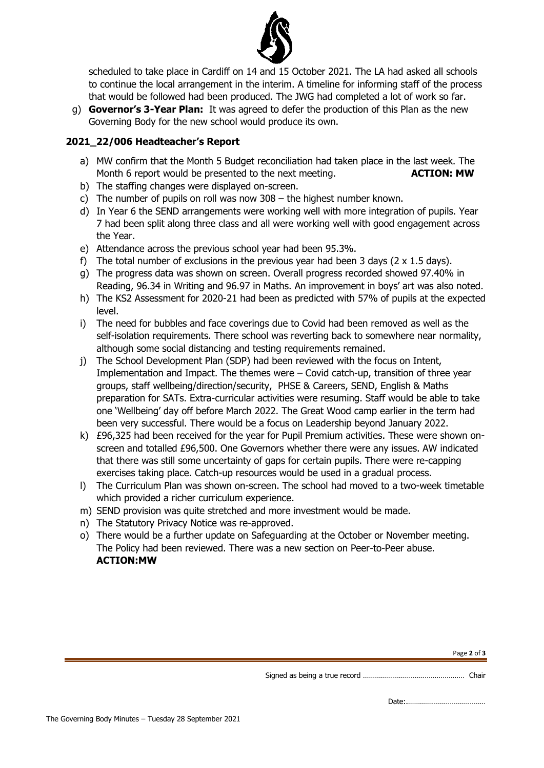

scheduled to take place in Cardiff on 14 and 15 October 2021. The LA had asked all schools to continue the local arrangement in the interim. A timeline for informing staff of the process that would be followed had been produced. The JWG had completed a lot of work so far.

g) **Governor's 3-Year Plan:** It was agreed to defer the production of this Plan as the new Governing Body for the new school would produce its own.

# **2021\_22/006 Headteacher's Report**

- a) MW confirm that the Month 5 Budget reconciliation had taken place in the last week. The Month 6 report would be presented to the next meeting. **ACTION: MW**
- b) The staffing changes were displayed on-screen.
- c) The number of pupils on roll was now 308 the highest number known.
- d) In Year 6 the SEND arrangements were working well with more integration of pupils. Year 7 had been split along three class and all were working well with good engagement across the Year.
- e) Attendance across the previous school year had been 95.3%.
- f) The total number of exclusions in the previous year had been 3 days ( $2 \times 1.5$  days).
- g) The progress data was shown on screen. Overall progress recorded showed 97.40% in Reading, 96.34 in Writing and 96.97 in Maths. An improvement in boys' art was also noted.
- h) The KS2 Assessment for 2020-21 had been as predicted with 57% of pupils at the expected level.
- i) The need for bubbles and face coverings due to Covid had been removed as well as the self-isolation requirements. There school was reverting back to somewhere near normality, although some social distancing and testing requirements remained.
- j) The School Development Plan (SDP) had been reviewed with the focus on Intent, Implementation and Impact. The themes were – Covid catch-up, transition of three year groups, staff wellbeing/direction/security, PHSE & Careers, SEND, English & Maths preparation for SATs. Extra-curricular activities were resuming. Staff would be able to take one 'Wellbeing' day off before March 2022. The Great Wood camp earlier in the term had been very successful. There would be a focus on Leadership beyond January 2022.
- k) £96,325 had been received for the year for Pupil Premium activities. These were shown onscreen and totalled £96,500. One Governors whether there were any issues. AW indicated that there was still some uncertainty of gaps for certain pupils. There were re-capping exercises taking place. Catch-up resources would be used in a gradual process.
- l) The Curriculum Plan was shown on-screen. The school had moved to a two-week timetable which provided a richer curriculum experience.
- m) SEND provision was quite stretched and more investment would be made.
- n) The Statutory Privacy Notice was re-approved.
- o) There would be a further update on Safeguarding at the October or November meeting. The Policy had been reviewed. There was a new section on Peer-to-Peer abuse. **ACTION:MW**

Date:.…………………………………